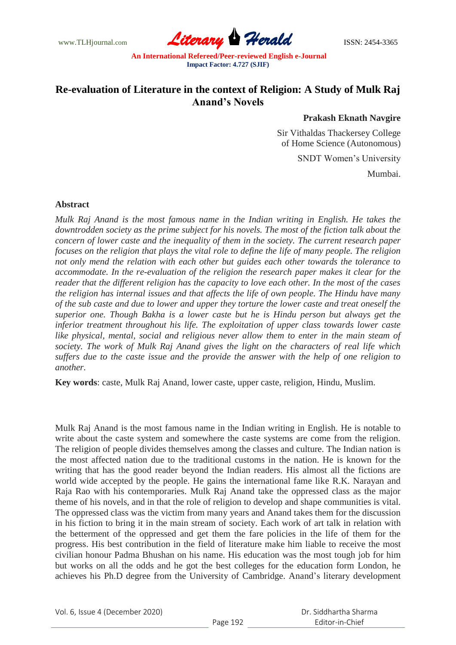www.TLHjournal.com **Literary Herald Herald ISSN: 2454-3365** 

## **Re-evaluation of Literature in the context of Religion: A Study of Mulk Raj Anand's Novels**

## **Prakash Eknath Navgire**

Sir Vithaldas Thackersey College of Home Science (Autonomous)

SNDT Women"s University

Mumbai.

## **Abstract**

*Mulk Raj Anand is the most famous name in the Indian writing in English. He takes the downtrodden society as the prime subject for his novels. The most of the fiction talk about the concern of lower caste and the inequality of them in the society. The current research paper focuses on the religion that plays the vital role to define the life of many people. The religion not only mend the relation with each other but guides each other towards the tolerance to accommodate. In the re-evaluation of the religion the research paper makes it clear for the reader that the different religion has the capacity to love each other. In the most of the cases the religion has internal issues and that affects the life of own people. The Hindu have many of the sub caste and due to lower and upper they torture the lower caste and treat oneself the superior one. Though Bakha is a lower caste but he is Hindu person but always get the inferior treatment throughout his life. The exploitation of upper class towards lower caste like physical, mental, social and religious never allow them to enter in the main steam of society. The work of Mulk Raj Anand gives the light on the characters of real life which suffers due to the caste issue and the provide the answer with the help of one religion to another.*

**Key words**: caste, Mulk Raj Anand, lower caste, upper caste, religion, Hindu, Muslim.

Mulk Raj Anand is the most famous name in the Indian writing in English. He is notable to write about the caste system and somewhere the caste systems are come from the religion. The religion of people divides themselves among the classes and culture. The Indian nation is the most affected nation due to the traditional customs in the nation. He is known for the writing that has the good reader beyond the Indian readers. His almost all the fictions are world wide accepted by the people. He gains the international fame like R.K. Narayan and Raja Rao with his contemporaries. Mulk Raj Anand take the oppressed class as the major theme of his novels, and in that the role of religion to develop and shape communities is vital. The oppressed class was the victim from many years and Anand takes them for the discussion in his fiction to bring it in the main stream of society. Each work of art talk in relation with the betterment of the oppressed and get them the fare policies in the life of them for the progress. His best contribution in the field of literature make him liable to receive the most civilian honour Padma Bhushan on his name. His education was the most tough job for him but works on all the odds and he got the best colleges for the education form London, he achieves his Ph.D degree from the University of Cambridge. Anand"s literary development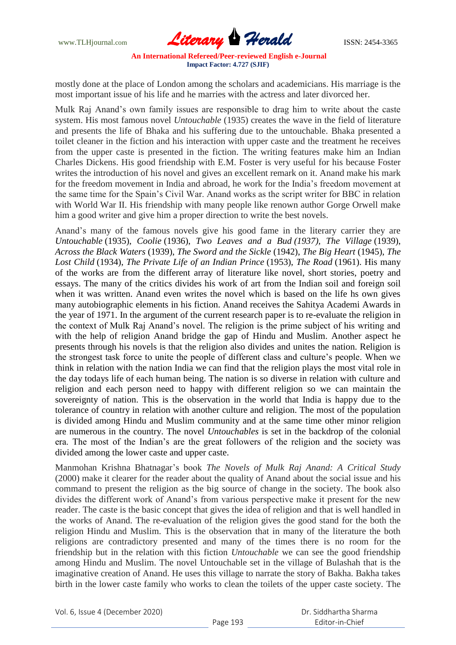www.TLHjournal.com **Literary Herald ISSN: 2454-3365** 

mostly done at the place of London among the scholars and academicians. His marriage is the most important issue of his life and he marries with the actress and later divorced her.

Mulk Raj Anand"s own family issues are responsible to drag him to write about the caste system. His most famous novel *Untouchable* (1935) creates the wave in the field of literature and presents the life of Bhaka and his suffering due to the untouchable. Bhaka presented a toilet cleaner in the fiction and his interaction with upper caste and the treatment he receives from the upper caste is presented in the fiction. The writing features make him an Indian Charles Dickens. His good friendship with E.M. Foster is very useful for his because Foster writes the introduction of his novel and gives an excellent remark on it. Anand make his mark for the freedom movement in India and abroad, he work for the India"s freedom movement at the same time for the Spain"s Civil War. Anand works as the script writer for BBC in relation with World War II. His friendship with many people like renown author Gorge Orwell make him a good writer and give him a proper direction to write the best novels.

Anand"s many of the famous novels give his good fame in the literary carrier they are *Untouchable* (1935), *Coolie* (1936), *Two Leaves and a Bud (1937), The Village* (1939), *Across the Black Waters* (1939), *The Sword and the Sickle* (1942), *The Big Heart* (1945), *The Lost Child* (1934), *The Private Life of an Indian Prince* (1953), *The Road* (1961). His many of the works are from the different array of literature like novel, short stories, poetry and essays. The many of the critics divides his work of art from the Indian soil and foreign soil when it was written. Anand even writes the novel which is based on the life hs own gives many autobiographic elements in his fiction. Anand receives the Sahitya Academi Awards in the year of 1971. In the argument of the current research paper is to re-evaluate the religion in the context of Mulk Raj Anand"s novel. The religion is the prime subject of his writing and with the help of religion Anand bridge the gap of Hindu and Muslim. Another aspect he presents through his novels is that the religion also divides and unites the nation. Religion is the strongest task force to unite the people of different class and culture"s people. When we think in relation with the nation India we can find that the religion plays the most vital role in the day todays life of each human being. The nation is so diverse in relation with culture and religion and each person need to happy with different religion so we can maintain the sovereignty of nation. This is the observation in the world that India is happy due to the tolerance of country in relation with another culture and religion. The most of the population is divided among Hindu and Muslim community and at the same time other minor religion are numerous in the country. The novel *Untouchables* is set in the backdrop of the colonial era. The most of the Indian"s are the great followers of the religion and the society was divided among the lower caste and upper caste.

Manmohan Krishna Bhatnagar"s book *The Novels of Mulk Raj Anand: A Critical Study* (2000) make it clearer for the reader about the quality of Anand about the social issue and his command to present the religion as the big source of change in the society. The book also divides the different work of Anand"s from various perspective make it present for the new reader. The caste is the basic concept that gives the idea of religion and that is well handled in the works of Anand. The re-evaluation of the religion gives the good stand for the both the religion Hindu and Muslim. This is the observation that in many of the literature the both religions are contradictory presented and many of the times there is no room for the friendship but in the relation with this fiction *Untouchable* we can see the good friendship among Hindu and Muslim. The novel Untouchable set in the village of Bulashah that is the imaginative creation of Anand. He uses this village to narrate the story of Bakha. Bakha takes birth in the lower caste family who works to clean the toilets of the upper caste society. The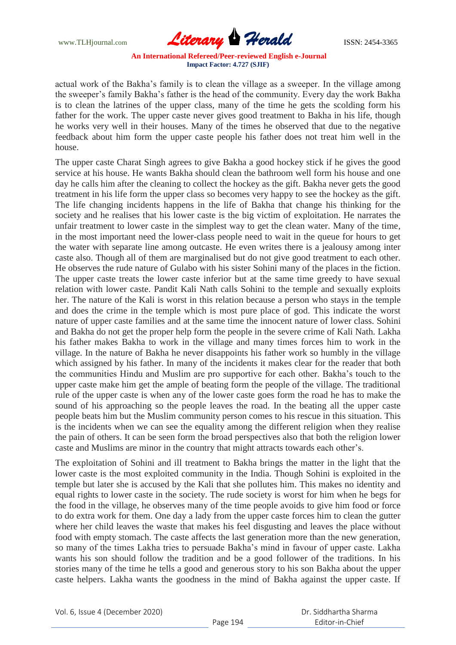www.TLHjournal.com **Literary Herald ISSN: 2454-3365** 

actual work of the Bakha"s family is to clean the village as a sweeper. In the village among the sweeper"s family Bakha"s father is the head of the community. Every day the work Bakha is to clean the latrines of the upper class, many of the time he gets the scolding form his father for the work. The upper caste never gives good treatment to Bakha in his life, though he works very well in their houses. Many of the times he observed that due to the negative feedback about him form the upper caste people his father does not treat him well in the house.

The upper caste Charat Singh agrees to give Bakha a good hockey stick if he gives the good service at his house. He wants Bakha should clean the bathroom well form his house and one day he calls him after the cleaning to collect the hockey as the gift. Bakha never gets the good treatment in his life form the upper class so becomes very happy to see the hockey as the gift. The life changing incidents happens in the life of Bakha that change his thinking for the society and he realises that his lower caste is the big victim of exploitation. He narrates the unfair treatment to lower caste in the simplest way to get the clean water. Many of the time, in the most important need the lower-class people need to wait in the queue for hours to get the water with separate line among outcaste. He even writes there is a jealousy among inter caste also. Though all of them are marginalised but do not give good treatment to each other. He observes the rude nature of Gulabo with his sister Sohini many of the places in the fiction. The upper caste treats the lower caste inferior but at the same time greedy to have sexual relation with lower caste. Pandit Kali Nath calls Sohini to the temple and sexually exploits her. The nature of the Kali is worst in this relation because a person who stays in the temple and does the crime in the temple which is most pure place of god. This indicate the worst nature of upper caste families and at the same time the innocent nature of lower class. Sohini and Bakha do not get the proper help form the people in the severe crime of Kali Nath. Lakha his father makes Bakha to work in the village and many times forces him to work in the village. In the nature of Bakha he never disappoints his father work so humbly in the village which assigned by his father. In many of the incidents it makes clear for the reader that both the communities Hindu and Muslim are pro supportive for each other. Bakha"s touch to the upper caste make him get the ample of beating form the people of the village. The traditional rule of the upper caste is when any of the lower caste goes form the road he has to make the sound of his approaching so the people leaves the road. In the beating all the upper caste people beats him but the Muslim community person comes to his rescue in this situation. This is the incidents when we can see the equality among the different religion when they realise the pain of others. It can be seen form the broad perspectives also that both the religion lower caste and Muslims are minor in the country that might attracts towards each other"s.

The exploitation of Sohini and ill treatment to Bakha brings the matter in the light that the lower caste is the most exploited community in the India. Though Sohini is exploited in the temple but later she is accused by the Kali that she pollutes him. This makes no identity and equal rights to lower caste in the society. The rude society is worst for him when he begs for the food in the village, he observes many of the time people avoids to give him food or force to do extra work for them. One day a lady from the upper caste forces him to clean the gutter where her child leaves the waste that makes his feel disgusting and leaves the place without food with empty stomach. The caste affects the last generation more than the new generation, so many of the times Lakha tries to persuade Bakha"s mind in favour of upper caste. Lakha wants his son should follow the tradition and be a good follower of the traditions. In his stories many of the time he tells a good and generous story to his son Bakha about the upper caste helpers. Lakha wants the goodness in the mind of Bakha against the upper caste. If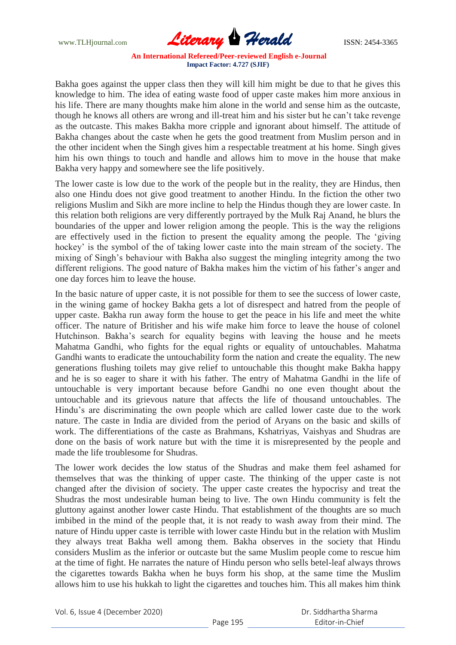www.TLHjournal.com **Literary Herald ISSN: 2454-3365** 

Bakha goes against the upper class then they will kill him might be due to that he gives this knowledge to him. The idea of eating waste food of upper caste makes him more anxious in his life. There are many thoughts make him alone in the world and sense him as the outcaste, though he knows all others are wrong and ill-treat him and his sister but he can"t take revenge as the outcaste. This makes Bakha more cripple and ignorant about himself. The attitude of Bakha changes about the caste when he gets the good treatment from Muslim person and in the other incident when the Singh gives him a respectable treatment at his home. Singh gives him his own things to touch and handle and allows him to move in the house that make Bakha very happy and somewhere see the life positively.

The lower caste is low due to the work of the people but in the reality, they are Hindus, then also one Hindu does not give good treatment to another Hindu. In the fiction the other two religions Muslim and Sikh are more incline to help the Hindus though they are lower caste. In this relation both religions are very differently portrayed by the Mulk Raj Anand, he blurs the boundaries of the upper and lower religion among the people. This is the way the religions are effectively used in the fiction to present the equality among the people. The "giving hockey' is the symbol of the of taking lower caste into the main stream of the society. The mixing of Singh"s behaviour with Bakha also suggest the mingling integrity among the two different religions. The good nature of Bakha makes him the victim of his father"s anger and one day forces him to leave the house.

In the basic nature of upper caste, it is not possible for them to see the success of lower caste, in the wining game of hockey Bakha gets a lot of disrespect and hatred from the people of upper caste. Bakha run away form the house to get the peace in his life and meet the white officer. The nature of Britisher and his wife make him force to leave the house of colonel Hutchinson. Bakha"s search for equality begins with leaving the house and he meets Mahatma Gandhi, who fights for the equal rights or equality of untouchables. Mahatma Gandhi wants to eradicate the untouchability form the nation and create the equality. The new generations flushing toilets may give relief to untouchable this thought make Bakha happy and he is so eager to share it with his father. The entry of Mahatma Gandhi in the life of untouchable is very important because before Gandhi no one even thought about the untouchable and its grievous nature that affects the life of thousand untouchables. The Hindu"s are discriminating the own people which are called lower caste due to the work nature. The caste in India are divided from the period of Aryans on the basic and skills of work. The differentiations of the caste as Brahmans, Kshatriyas, Vaishyas and Shudras are done on the basis of work nature but with the time it is misrepresented by the people and made the life troublesome for Shudras.

The lower work decides the low status of the Shudras and make them feel ashamed for themselves that was the thinking of upper caste. The thinking of the upper caste is not changed after the division of society. The upper caste creates the hypocrisy and treat the Shudras the most undesirable human being to live. The own Hindu community is felt the gluttony against another lower caste Hindu. That establishment of the thoughts are so much imbibed in the mind of the people that, it is not ready to wash away from their mind. The nature of Hindu upper caste is terrible with lower caste Hindu but in the relation with Muslim they always treat Bakha well among them. Bakha observes in the society that Hindu considers Muslim as the inferior or outcaste but the same Muslim people come to rescue him at the time of fight. He narrates the nature of Hindu person who sells betel-leaf always throws the cigarettes towards Bakha when he buys form his shop, at the same time the Muslim allows him to use his hukkah to light the cigarettes and touches him. This all makes him think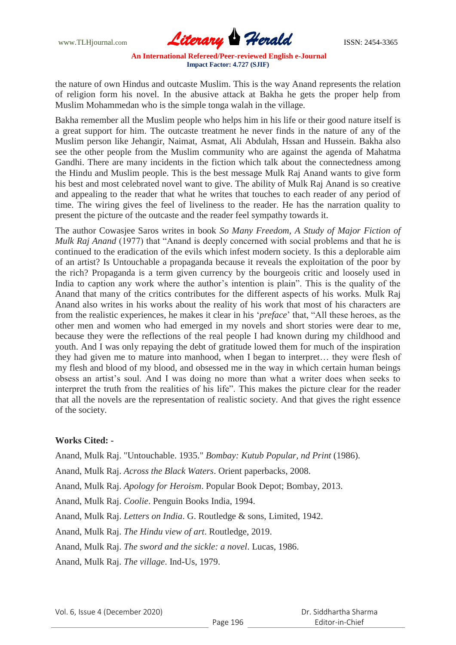

the nature of own Hindus and outcaste Muslim. This is the way Anand represents the relation of religion form his novel. In the abusive attack at Bakha he gets the proper help from Muslim Mohammedan who is the simple tonga walah in the village.

Bakha remember all the Muslim people who helps him in his life or their good nature itself is a great support for him. The outcaste treatment he never finds in the nature of any of the Muslim person like Jehangir, Naimat, Asmat, Ali Abdulah, Hssan and Hussein. Bakha also see the other people from the Muslim community who are against the agenda of Mahatma Gandhi. There are many incidents in the fiction which talk about the connectedness among the Hindu and Muslim people. This is the best message Mulk Raj Anand wants to give form his best and most celebrated novel want to give. The ability of Mulk Raj Anand is so creative and appealing to the reader that what he writes that touches to each reader of any period of time. The wiring gives the feel of liveliness to the reader. He has the narration quality to present the picture of the outcaste and the reader feel sympathy towards it.

The author Cowasjee Saros writes in book *So Many Freedom, A Study of Major Fiction of Mulk Raj Anand* (1977) that "Anand is deeply concerned with social problems and that he is continued to the eradication of the evils which infest modern society. Is this a deplorable aim of an artist? Is Untouchable a propaganda because it reveals the exploitation of the poor by the rich? Propaganda is a term given currency by the bourgeois critic and loosely used in India to caption any work where the author's intention is plain". This is the quality of the Anand that many of the critics contributes for the different aspects of his works. Mulk Raj Anand also writes in his works about the reality of his work that most of his characters are from the realistic experiences, he makes it clear in his "*preface*" that, "All these heroes, as the other men and women who had emerged in my novels and short stories were dear to me, because they were the reflections of the real people I had known during my childhood and youth. And I was only repaying the debt of gratitude lowed them for much of the inspiration they had given me to mature into manhood, when I began to interpret… they were flesh of my flesh and blood of my blood, and obsessed me in the way in which certain human beings obsess an artist"s soul. And I was doing no more than what a writer does when seeks to interpret the truth from the realities of his life". This makes the picture clear for the reader that all the novels are the representation of realistic society. And that gives the right essence of the society.

## **Works Cited: -**

Anand, Mulk Raj. "Untouchable. 1935." *Bombay: Kutub Popular, nd Print* (1986).

Anand, Mulk Raj. *Across the Black Waters*. Orient paperbacks, 2008.

Anand, Mulk Raj. *Apology for Heroism*. Popular Book Depot; Bombay, 2013.

Anand, Mulk Raj. *Coolie*. Penguin Books India, 1994.

Anand, Mulk Raj. *Letters on India*. G. Routledge & sons, Limited, 1942.

Anand, Mulk Raj. *The Hindu view of art*. Routledge, 2019.

Anand, Mulk Raj. *The sword and the sickle: a novel*. Lucas, 1986.

Anand, Mulk Raj. *The village*. Ind-Us, 1979.